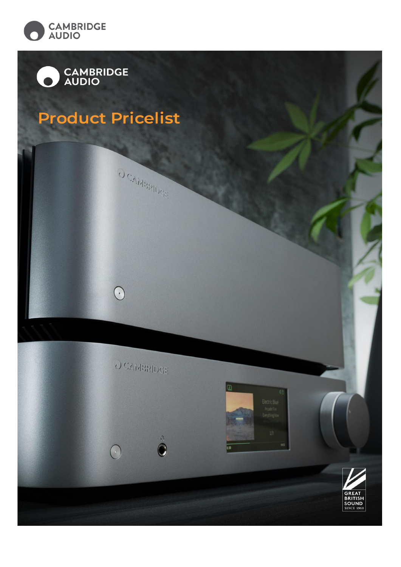

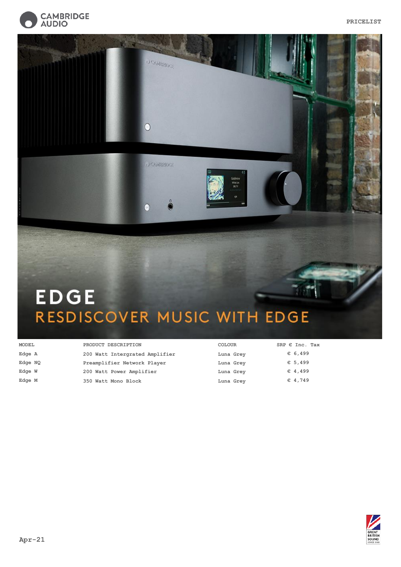



#### **MODEL PRODUCT DESCRIPTION COLOUR** C10925 **Edge A 200 Watt Intergrated Amplifier Luna Grey** C10927 **Edge NQ Preamplifier Network Player Luna Grey** Edge W **200 Watt Power Amplifier Luna Grey** C11214 **Edge M 350 Watt Mono Block Luna Grey SRP € Inc. Tax € 6,499 € 5,499 € 4,499 € 4,749**

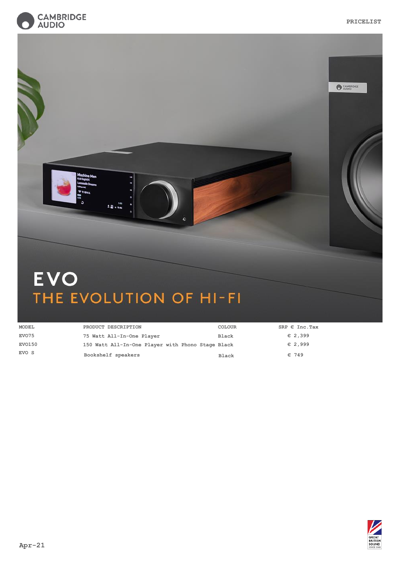

| achine Men<br><b>P TIBAL</b><br>$2.23 + n4$<br>$\bullet$ | AUDIO |
|----------------------------------------------------------|-------|
| <b>EVO</b><br>THE EVOLUTION OF HI-FI                     |       |

| <b>MODEL</b>  | PRODUCT DESCRIPTION                               | <b>COLOUR</b> | SRP $\epsilon$ Inc. Tax |
|---------------|---------------------------------------------------|---------------|-------------------------|
| EVO75         | 75 Watt All-In-One Player                         | Black         | $E$ 2,399               |
| <b>EVO150</b> | 150 Watt All-In-One Player with Phono Stage Black |               | $E$ 2,999               |
| EVO S         | Bookshelf speakers                                | <b>Black</b>  | $\in$ 749               |

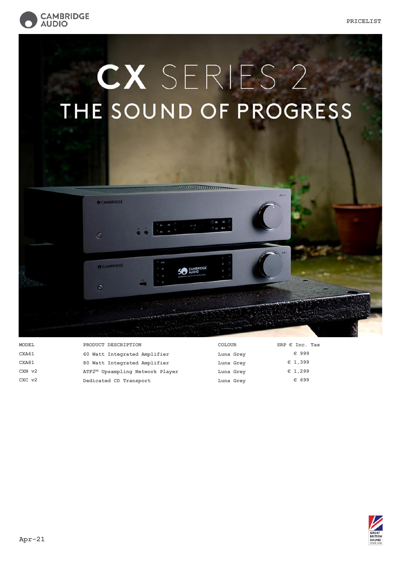

## CX SERIES 2 THE SOUND OF PROGRESS



**MODEL PRODUCT DESCRIPTION COLOUR** CXA61 60 Watt Integrated Amplifier **Luna Grey** C11129K **CXA81 80 Watt Integrated Amplifier Luna Grey** C11137K **CXN v2 ATF2™ Upsampling Network Player Luna Grey** CXC v2 **Dedicated CD Transport Luna Grey SRP € Inc. Tax € 999 € 1,399 € 1,299 € 699**

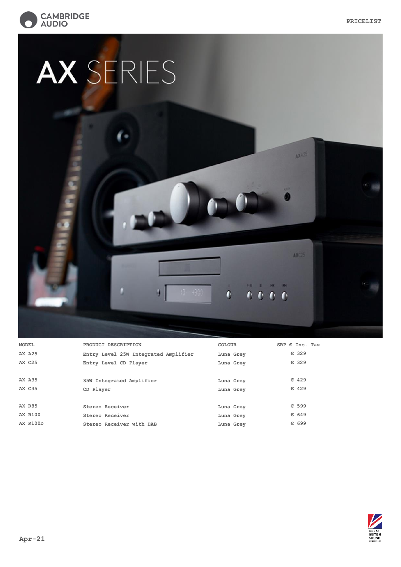AXA25

AXC25

 $\mathbb{M} \quad \quad \mathbb{R} \qquad \mathbb{M} \qquad \mathbb{M}$  $0.000$ 

 $\hat{\mathbf{0}}$ 



# AX SERIES

| <b>MODEL</b>    | PRODUCT DESCRIPTION                  | COLOUR    | SRP $\epsilon$ Inc. Tax |
|-----------------|--------------------------------------|-----------|-------------------------|
| <b>AX A25</b>   | Entry Level 25W Integrated Amplifier | Luna Grey | € 329                   |
| <b>AX C25</b>   | Entry Level CD Player                | Luna Grey | $\in$ 329               |
|                 |                                      |           |                         |
| <b>AX A35</b>   | 35W Integrated Amplifier             | Luna Grey | $\in$ 429               |
| <b>AX C35</b>   | CD Player                            | Luna Grey | $\in$ 429               |
|                 |                                      |           |                         |
| <b>AX R85</b>   | Stereo Receiver                      | Luna Grey | $\in$ 599               |
| <b>AX R100</b>  | Stereo Receiver                      | Luna Grey | € 649                   |
| <b>AX R100D</b> | Stereo Receiver with DAB             | Luna Grey | € 699                   |
|                 |                                      |           |                         |

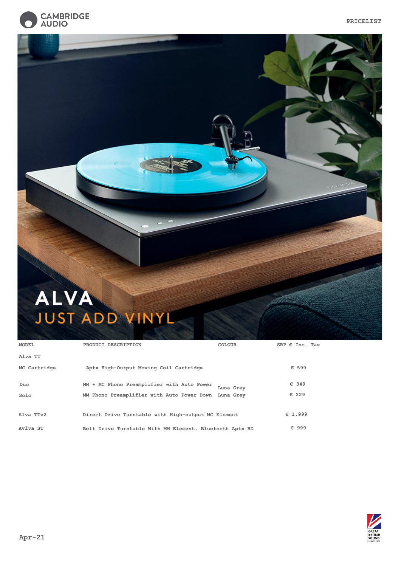

# ALVA JUST ADD VINYL

| <b>MODEL</b> | <b>COLOUR</b><br>PRODUCT DESCRIPTION                    | SRP $\epsilon$ Inc. Tax |
|--------------|---------------------------------------------------------|-------------------------|
| Alva TT      |                                                         |                         |
| MC Cartridge | Aptx High-Output Moving Coil Cartridge                  | € 599                   |
| Duo          | MM + MC Phono Preamplifier with Auto Power<br>Luna Grev | € 349                   |
| Solo         | MM Phono Preamplifier with Auto Power Down Luna Grey    | € 229                   |
| Alva TTv2    | Direct Drive Turntable with High-output MC Element      | E1,999                  |
| Avlya ST     | Belt Drive Turntable With MM Element, Bluetooth Aptx HD | € 999                   |

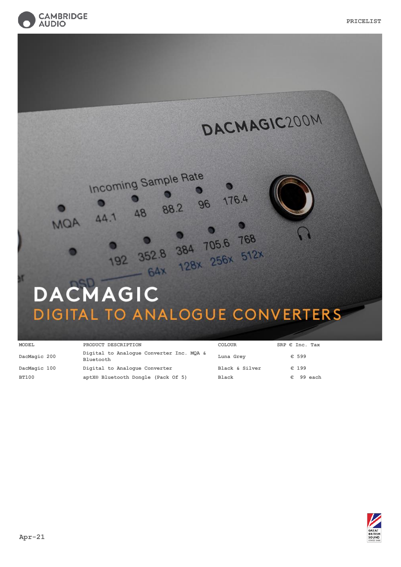





| <b>MODEL</b> | PRODUCT DESCRIPTION                                   | <b>COLOUR</b>  | SRP $\epsilon$ Inc. Tax |
|--------------|-------------------------------------------------------|----------------|-------------------------|
| DacMagic 200 | Digital to Analogue Converter Inc. MOA &<br>Bluetooth | Luna Grey      | $\in$ 599               |
| DacMagic 100 | Digital to Analogue Converter                         | Black & Silver | $\epsilon$ 199          |
| <b>BT100</b> | aptX® Bluetooth Dongle (Pack Of 5)                    | Black          | 99 each<br>€.           |

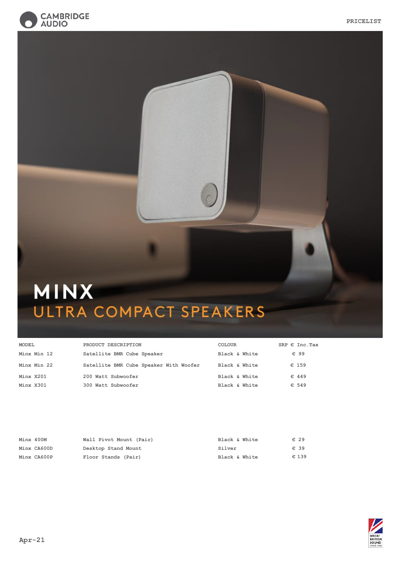



### MINX ULTRA COMPACT SPEAKERS

| <b>MODEL</b> | PRODUCT DESCRIPTION                    | COLOUR        | SRP $\epsilon$ Inc. Tax |
|--------------|----------------------------------------|---------------|-------------------------|
| Minx Min 12  | Satellite BMR Cube Speaker             | Black & White | € 99                    |
| Minx Min 22  | Satellite BMR Cube Speaker With Woofer | Black & White | $\in$ 159               |
| Minx X201    | 200 Watt Subwoofer                     | Black & White | $\in$ 449               |
| Minx X301    | 300 Watt Subwoofer                     | Black & White | $\in$ 549               |

| Minx 400M   | Wall Pivot Mount (Pair) | Black & White | $\in 29$ |
|-------------|-------------------------|---------------|----------|
| Minx CA600D | Desktop Stand Mount     | Silver        | $\in$ 39 |
| Minx CA600P | Floor Stands (Pair)     | Black & White | € 139    |